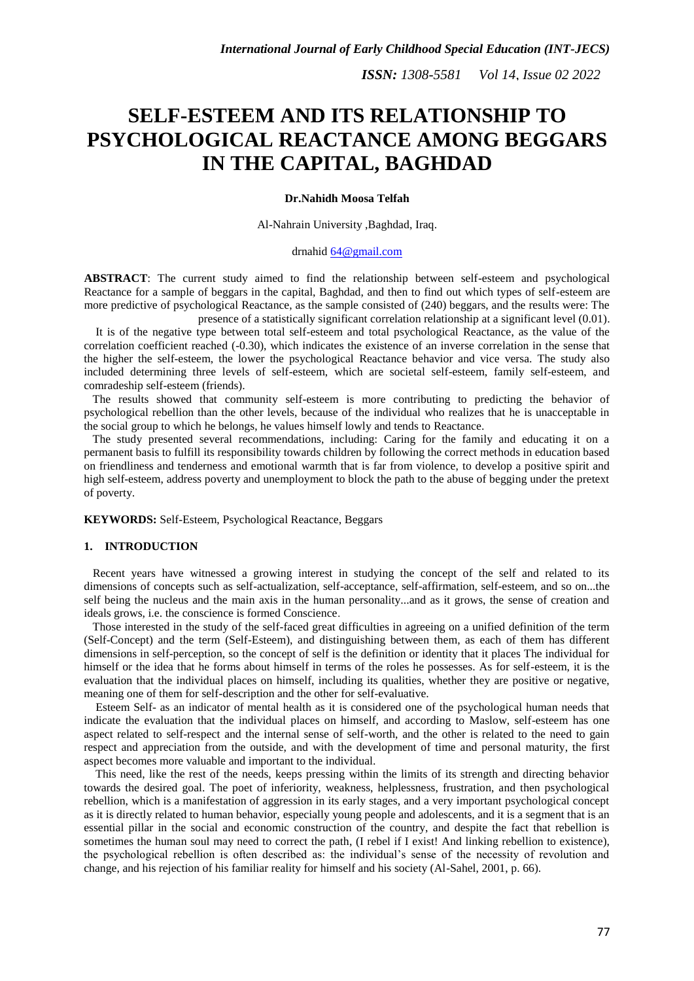# **SELF-ESTEEM AND ITS RELATIONSHIP TO PSYCHOLOGICAL REACTANCE AMONG BEGGARS IN THE CAPITAL, BAGHDAD**

# **Dr.Nahidh Moosa Telfah**

#### Al-Nahrain University ,Baghdad, Iraq.

# drnahid [64@gmail.com](mailto:64@gmail.com)

**ABSTRACT**: The current study aimed to find the relationship between self-esteem and psychological Reactance for a sample of beggars in the capital, Baghdad, and then to find out which types of self-esteem are more predictive of psychological Reactance, as the sample consisted of (240) beggars, and the results were: The presence of a statistically significant correlation relationship at a significant level (0.01).

 It is of the negative type between total self-esteem and total psychological Reactance, as the value of the correlation coefficient reached (-0.30), which indicates the existence of an inverse correlation in the sense that the higher the self-esteem, the lower the psychological Reactance behavior and vice versa. The study also included determining three levels of self-esteem, which are societal self-esteem, family self-esteem, and comradeship self-esteem (friends).

 The results showed that community self-esteem is more contributing to predicting the behavior of psychological rebellion than the other levels, because of the individual who realizes that he is unacceptable in the social group to which he belongs, he values himself lowly and tends to Reactance.

 The study presented several recommendations, including: Caring for the family and educating it on a permanent basis to fulfill its responsibility towards children by following the correct methods in education based on friendliness and tenderness and emotional warmth that is far from violence, to develop a positive spirit and high self-esteem, address poverty and unemployment to block the path to the abuse of begging under the pretext of poverty.

**KEYWORDS:** Self-Esteem, Psychological Reactance, Beggars

## **1. INTRODUCTION**

 Recent years have witnessed a growing interest in studying the concept of the self and related to its dimensions of concepts such as self-actualization, self-acceptance, self-affirmation, self-esteem, and so on...the self being the nucleus and the main axis in the human personality...and as it grows, the sense of creation and ideals grows, i.e. the conscience is formed Conscience.

 Those interested in the study of the self-faced great difficulties in agreeing on a unified definition of the term (Self-Concept) and the term (Self-Esteem), and distinguishing between them, as each of them has different dimensions in self-perception, so the concept of self is the definition or identity that it places The individual for himself or the idea that he forms about himself in terms of the roles he possesses. As for self-esteem, it is the evaluation that the individual places on himself, including its qualities, whether they are positive or negative, meaning one of them for self-description and the other for self-evaluative.

 Esteem Self- as an indicator of mental health as it is considered one of the psychological human needs that indicate the evaluation that the individual places on himself, and according to Maslow, self-esteem has one aspect related to self-respect and the internal sense of self-worth, and the other is related to the need to gain respect and appreciation from the outside, and with the development of time and personal maturity, the first aspect becomes more valuable and important to the individual.

 This need, like the rest of the needs, keeps pressing within the limits of its strength and directing behavior towards the desired goal. The poet of inferiority, weakness, helplessness, frustration, and then psychological rebellion, which is a manifestation of aggression in its early stages, and a very important psychological concept as it is directly related to human behavior, especially young people and adolescents, and it is a segment that is an essential pillar in the social and economic construction of the country, and despite the fact that rebellion is sometimes the human soul may need to correct the path, (I rebel if I exist! And linking rebellion to existence), the psychological rebellion is often described as: the individual's sense of the necessity of revolution and change, and his rejection of his familiar reality for himself and his society (Al-Sahel, 2001, p. 66).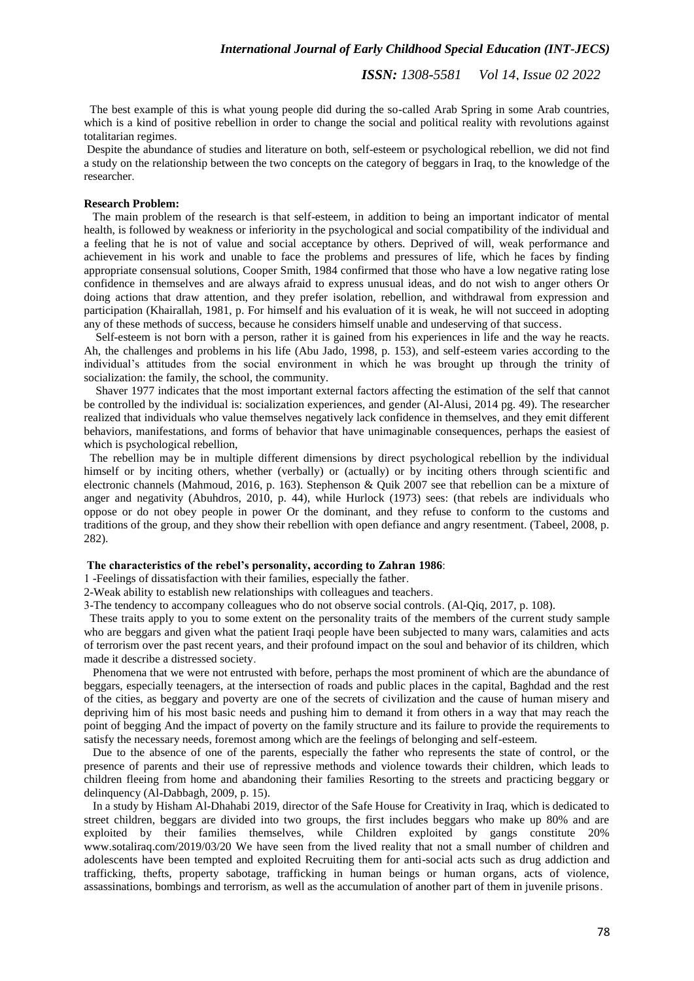*ISSN: 1308-5581 Vol 14, Issue 02 2022*

 The best example of this is what young people did during the so-called Arab Spring in some Arab countries, which is a kind of positive rebellion in order to change the social and political reality with revolutions against totalitarian regimes.

Despite the abundance of studies and literature on both, self-esteem or psychological rebellion, we did not find a study on the relationship between the two concepts on the category of beggars in Iraq, to the knowledge of the researcher.

## **Research Problem:**

 The main problem of the research is that self-esteem, in addition to being an important indicator of mental health, is followed by weakness or inferiority in the psychological and social compatibility of the individual and a feeling that he is not of value and social acceptance by others. Deprived of will, weak performance and achievement in his work and unable to face the problems and pressures of life, which he faces by finding appropriate consensual solutions, Cooper Smith, 1984 confirmed that those who have a low negative rating lose confidence in themselves and are always afraid to express unusual ideas, and do not wish to anger others Or doing actions that draw attention, and they prefer isolation, rebellion, and withdrawal from expression and participation (Khairallah, 1981, p. For himself and his evaluation of it is weak, he will not succeed in adopting any of these methods of success, because he considers himself unable and undeserving of that success.

 Self-esteem is not born with a person, rather it is gained from his experiences in life and the way he reacts. Ah, the challenges and problems in his life (Abu Jado, 1998, p. 153), and self-esteem varies according to the individual's attitudes from the social environment in which he was brought up through the trinity of socialization: the family, the school, the community.

 Shaver 1977 indicates that the most important external factors affecting the estimation of the self that cannot be controlled by the individual is: socialization experiences, and gender (Al-Alusi, 2014 pg. 49). The researcher realized that individuals who value themselves negatively lack confidence in themselves, and they emit different behaviors, manifestations, and forms of behavior that have unimaginable consequences, perhaps the easiest of which is psychological rebellion,

 The rebellion may be in multiple different dimensions by direct psychological rebellion by the individual himself or by inciting others, whether (verbally) or (actually) or by inciting others through scientific and electronic channels (Mahmoud, 2016, p. 163). Stephenson & Quik 2007 see that rebellion can be a mixture of anger and negativity (Abuhdros, 2010, p. 44), while Hurlock (1973) sees: (that rebels are individuals who oppose or do not obey people in power Or the dominant, and they refuse to conform to the customs and traditions of the group, and they show their rebellion with open defiance and angry resentment. (Tabeel, 2008, p. 282).

#### **The characteristics of the rebel's personality, according to Zahran 1986**:

1 -Feelings of dissatisfaction with their families, especially the father.

2-Weak ability to establish new relationships with colleagues and teachers.

3-The tendency to accompany colleagues who do not observe social controls. (Al-Qiq, 2017, p. 108).

 These traits apply to you to some extent on the personality traits of the members of the current study sample who are beggars and given what the patient Iraqi people have been subjected to many wars, calamities and acts of terrorism over the past recent years, and their profound impact on the soul and behavior of its children, which made it describe a distressed society.

 Phenomena that we were not entrusted with before, perhaps the most prominent of which are the abundance of beggars, especially teenagers, at the intersection of roads and public places in the capital, Baghdad and the rest of the cities, as beggary and poverty are one of the secrets of civilization and the cause of human misery and depriving him of his most basic needs and pushing him to demand it from others in a way that may reach the point of begging And the impact of poverty on the family structure and its failure to provide the requirements to satisfy the necessary needs, foremost among which are the feelings of belonging and self-esteem.

 Due to the absence of one of the parents, especially the father who represents the state of control, or the presence of parents and their use of repressive methods and violence towards their children, which leads to children fleeing from home and abandoning their families Resorting to the streets and practicing beggary or delinquency (Al-Dabbagh, 2009, p. 15).

 In a study by Hisham Al-Dhahabi 2019, director of the Safe House for Creativity in Iraq, which is dedicated to street children, beggars are divided into two groups, the first includes beggars who make up 80% and are exploited by their families themselves, while Children exploited by gangs constitute 20% www.sotaliraq.com/2019/03/20 We have seen from the lived reality that not a small number of children and adolescents have been tempted and exploited Recruiting them for anti-social acts such as drug addiction and trafficking, thefts, property sabotage, trafficking in human beings or human organs, acts of violence, assassinations, bombings and terrorism, as well as the accumulation of another part of them in juvenile prisons.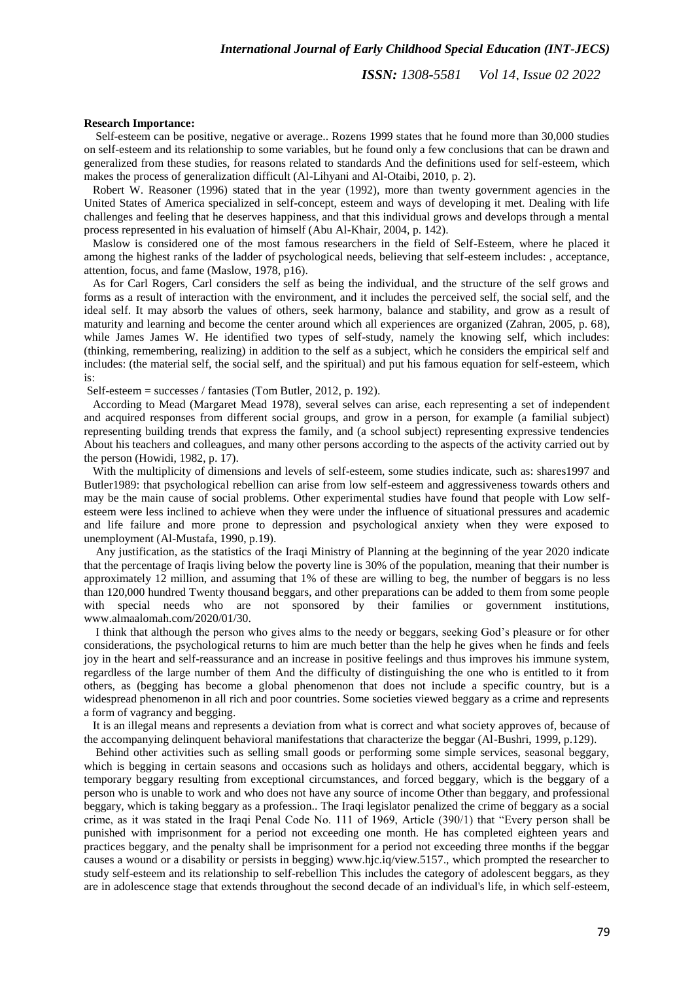*ISSN: 1308-5581 Vol 14, Issue 02 2022*

#### **Research Importance:**

 Self-esteem can be positive, negative or average.. Rozens 1999 states that he found more than 30,000 studies on self-esteem and its relationship to some variables, but he found only a few conclusions that can be drawn and generalized from these studies, for reasons related to standards And the definitions used for self-esteem, which makes the process of generalization difficult (Al-Lihyani and Al-Otaibi, 2010, p. 2).

 Robert W. Reasoner (1996) stated that in the year (1992), more than twenty government agencies in the United States of America specialized in self-concept, esteem and ways of developing it met. Dealing with life challenges and feeling that he deserves happiness, and that this individual grows and develops through a mental process represented in his evaluation of himself (Abu Al-Khair, 2004, p. 142).

 Maslow is considered one of the most famous researchers in the field of Self-Esteem, where he placed it among the highest ranks of the ladder of psychological needs, believing that self-esteem includes: , acceptance, attention, focus, and fame (Maslow, 1978, p16).

 As for Carl Rogers, Carl considers the self as being the individual, and the structure of the self grows and forms as a result of interaction with the environment, and it includes the perceived self, the social self, and the ideal self. It may absorb the values of others, seek harmony, balance and stability, and grow as a result of maturity and learning and become the center around which all experiences are organized (Zahran, 2005, p. 68), while James James W. He identified two types of self-study, namely the knowing self, which includes: (thinking, remembering, realizing) in addition to the self as a subject, which he considers the empirical self and includes: (the material self, the social self, and the spiritual) and put his famous equation for self-esteem, which is:

Self-esteem = successes / fantasies (Tom Butler, 2012, p. 192).

 According to Mead (Margaret Mead 1978), several selves can arise, each representing a set of independent and acquired responses from different social groups, and grow in a person, for example (a familial subject) representing building trends that express the family, and (a school subject) representing expressive tendencies About his teachers and colleagues, and many other persons according to the aspects of the activity carried out by the person (Howidi, 1982, p. 17).

 With the multiplicity of dimensions and levels of self-esteem, some studies indicate, such as: shares1997 and Butler1989: that psychological rebellion can arise from low self-esteem and aggressiveness towards others and may be the main cause of social problems. Other experimental studies have found that people with Low selfesteem were less inclined to achieve when they were under the influence of situational pressures and academic and life failure and more prone to depression and psychological anxiety when they were exposed to unemployment (Al-Mustafa, 1990, p.19).

 Any justification, as the statistics of the Iraqi Ministry of Planning at the beginning of the year 2020 indicate that the percentage of Iraqis living below the poverty line is 30% of the population, meaning that their number is approximately 12 million, and assuming that 1% of these are willing to beg, the number of beggars is no less than 120,000 hundred Twenty thousand beggars, and other preparations can be added to them from some people with special needs who are not sponsored by their families or government institutions, www.almaalomah.com/2020/01/30.

 I think that although the person who gives alms to the needy or beggars, seeking God's pleasure or for other considerations, the psychological returns to him are much better than the help he gives when he finds and feels joy in the heart and self-reassurance and an increase in positive feelings and thus improves his immune system, regardless of the large number of them And the difficulty of distinguishing the one who is entitled to it from others, as (begging has become a global phenomenon that does not include a specific country, but is a widespread phenomenon in all rich and poor countries. Some societies viewed beggary as a crime and represents a form of vagrancy and begging.

 It is an illegal means and represents a deviation from what is correct and what society approves of, because of the accompanying delinquent behavioral manifestations that characterize the beggar (Al-Bushri, 1999, p.129).

 Behind other activities such as selling small goods or performing some simple services, seasonal beggary, which is begging in certain seasons and occasions such as holidays and others, accidental beggary, which is temporary beggary resulting from exceptional circumstances, and forced beggary, which is the beggary of a person who is unable to work and who does not have any source of income Other than beggary, and professional beggary, which is taking beggary as a profession.. The Iraqi legislator penalized the crime of beggary as a social crime, as it was stated in the Iraqi Penal Code No. 111 of 1969, Article (390/1) that "Every person shall be punished with imprisonment for a period not exceeding one month. He has completed eighteen years and practices beggary, and the penalty shall be imprisonment for a period not exceeding three months if the beggar causes a wound or a disability or persists in begging) www.hjc.iq/view.5157., which prompted the researcher to study self-esteem and its relationship to self-rebellion This includes the category of adolescent beggars, as they are in adolescence stage that extends throughout the second decade of an individual's life, in which self-esteem,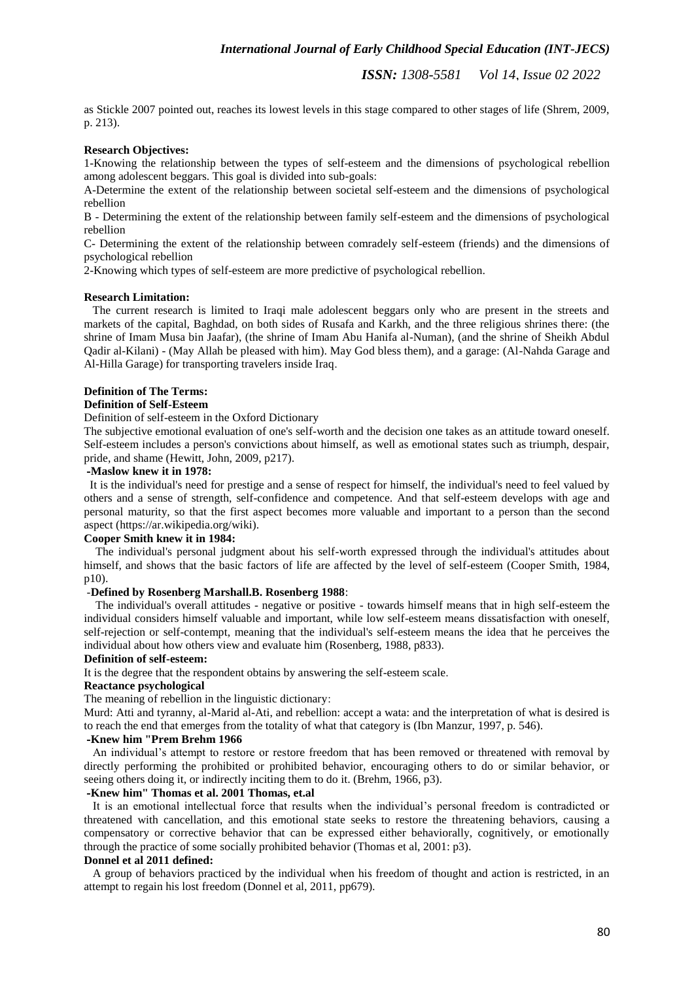as Stickle 2007 pointed out, reaches its lowest levels in this stage compared to other stages of life (Shrem, 2009, p. 213).

# **Research Objectives:**

1-Knowing the relationship between the types of self-esteem and the dimensions of psychological rebellion among adolescent beggars. This goal is divided into sub-goals:

A-Determine the extent of the relationship between societal self-esteem and the dimensions of psychological rebellion

B - Determining the extent of the relationship between family self-esteem and the dimensions of psychological rebellion

C- Determining the extent of the relationship between comradely self-esteem (friends) and the dimensions of psychological rebellion

2-Knowing which types of self-esteem are more predictive of psychological rebellion.

## **Research Limitation:**

 The current research is limited to Iraqi male adolescent beggars only who are present in the streets and markets of the capital, Baghdad, on both sides of Rusafa and Karkh, and the three religious shrines there: (the shrine of Imam Musa bin Jaafar), (the shrine of Imam Abu Hanifa al-Numan), (and the shrine of Sheikh Abdul Qadir al-Kilani) - (May Allah be pleased with him). May God bless them), and a garage: (Al-Nahda Garage and Al-Hilla Garage) for transporting travelers inside Iraq.

# **Definition of The Terms:**

# **Definition of Self-Esteem**

## Definition of self-esteem in the Oxford Dictionary

The subjective emotional evaluation of one's self-worth and the decision one takes as an attitude toward oneself. Self-esteem includes a person's convictions about himself, as well as emotional states such as triumph, despair, pride, and shame (Hewitt, John, 2009, p217).

## **-Maslow knew it in 1978:**

 It is the individual's need for prestige and a sense of respect for himself, the individual's need to feel valued by others and a sense of strength, self-confidence and competence. And that self-esteem develops with age and personal maturity, so that the first aspect becomes more valuable and important to a person than the second aspect (https://ar.wikipedia.org/wiki).

## **Cooper Smith knew it in 1984:**

 The individual's personal judgment about his self-worth expressed through the individual's attitudes about himself, and shows that the basic factors of life are affected by the level of self-esteem (Cooper Smith, 1984, p10).

# -**Defined by Rosenberg Marshall.B. Rosenberg 1988**:

 The individual's overall attitudes - negative or positive - towards himself means that in high self-esteem the individual considers himself valuable and important, while low self-esteem means dissatisfaction with oneself, self-rejection or self-contempt, meaning that the individual's self-esteem means the idea that he perceives the individual about how others view and evaluate him (Rosenberg, 1988, p833).

# **Definition of self-esteem:**

It is the degree that the respondent obtains by answering the self-esteem scale.

# **Reactance psychological**

The meaning of rebellion in the linguistic dictionary:

Murd: Atti and tyranny, al-Marid al-Ati, and rebellion: accept a wata: and the interpretation of what is desired is to reach the end that emerges from the totality of what that category is (Ibn Manzur, 1997, p. 546).

## **-Knew him "Prem Brehm 1966**

 An individual's attempt to restore or restore freedom that has been removed or threatened with removal by directly performing the prohibited or prohibited behavior, encouraging others to do or similar behavior, or seeing others doing it, or indirectly inciting them to do it. (Brehm, 1966, p3).

## **-Knew him" Thomas et al. 2001 Thomas, et.al**

 It is an emotional intellectual force that results when the individual's personal freedom is contradicted or threatened with cancellation, and this emotional state seeks to restore the threatening behaviors, causing a compensatory or corrective behavior that can be expressed either behaviorally, cognitively, or emotionally through the practice of some socially prohibited behavior (Thomas et al, 2001: p3).

## **Donnel et al 2011 defined:**

 A group of behaviors practiced by the individual when his freedom of thought and action is restricted, in an attempt to regain his lost freedom (Donnel et al, 2011, pp679).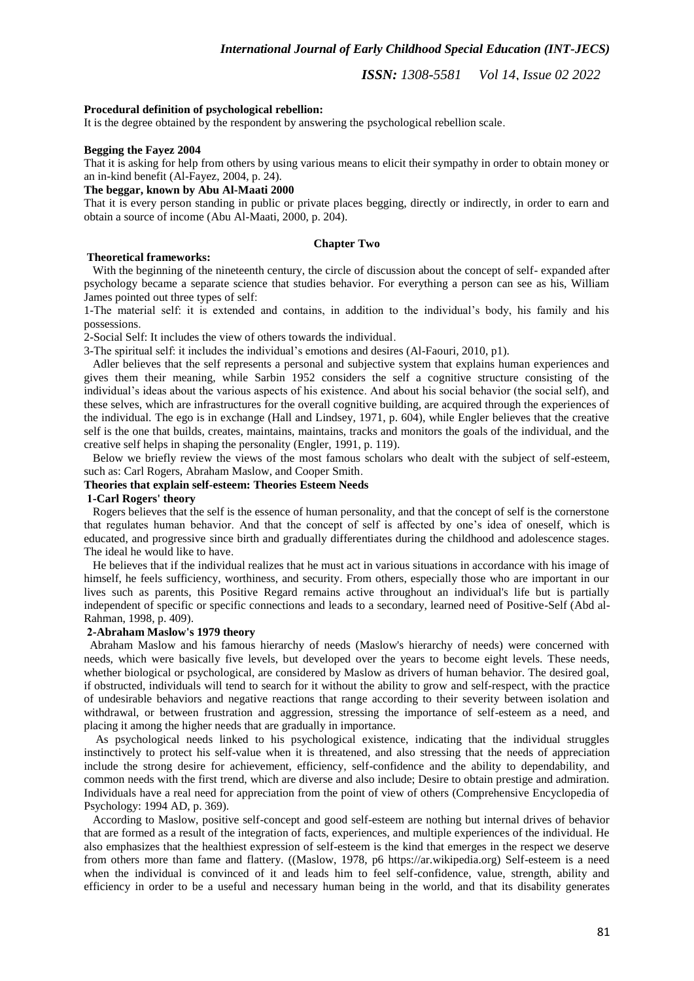## **Procedural definition of psychological rebellion:**

It is the degree obtained by the respondent by answering the psychological rebellion scale.

# **Begging the Fayez 2004**

That it is asking for help from others by using various means to elicit their sympathy in order to obtain money or an in-kind benefit (Al-Fayez, 2004, p. 24).

# **The beggar, known by Abu Al-Maati 2000**

That it is every person standing in public or private places begging, directly or indirectly, in order to earn and obtain a source of income (Abu Al-Maati, 2000, p. 204).

#### **Chapter Two**

#### **Theoretical frameworks:**

With the beginning of the nineteenth century, the circle of discussion about the concept of self- expanded after psychology became a separate science that studies behavior. For everything a person can see as his, William James pointed out three types of self:

1-The material self: it is extended and contains, in addition to the individual's body, his family and his possessions.

2-Social Self: It includes the view of others towards the individual.

3-The spiritual self: it includes the individual's emotions and desires (Al-Faouri, 2010, p1).

 Adler believes that the self represents a personal and subjective system that explains human experiences and gives them their meaning, while Sarbin 1952 considers the self a cognitive structure consisting of the individual's ideas about the various aspects of his existence. And about his social behavior (the social self), and these selves, which are infrastructures for the overall cognitive building, are acquired through the experiences of the individual. The ego is in exchange (Hall and Lindsey, 1971, p. 604), while Engler believes that the creative self is the one that builds, creates, maintains, maintains, tracks and monitors the goals of the individual, and the creative self helps in shaping the personality (Engler, 1991, p. 119).

 Below we briefly review the views of the most famous scholars who dealt with the subject of self-esteem, such as: Carl Rogers, Abraham Maslow, and Cooper Smith.

## **Theories that explain self-esteem: Theories Esteem Needs**

# **1-Carl Rogers' theory**

 Rogers believes that the self is the essence of human personality, and that the concept of self is the cornerstone that regulates human behavior. And that the concept of self is affected by one's idea of oneself, which is educated, and progressive since birth and gradually differentiates during the childhood and adolescence stages. The ideal he would like to have.

 He believes that if the individual realizes that he must act in various situations in accordance with his image of himself, he feels sufficiency, worthiness, and security. From others, especially those who are important in our lives such as parents, this Positive Regard remains active throughout an individual's life but is partially independent of specific or specific connections and leads to a secondary, learned need of Positive-Self (Abd al-Rahman, 1998, p. 409).

#### **2-Abraham Maslow's 1979 theory**

 Abraham Maslow and his famous hierarchy of needs (Maslow's hierarchy of needs) were concerned with needs, which were basically five levels, but developed over the years to become eight levels. These needs, whether biological or psychological, are considered by Maslow as drivers of human behavior. The desired goal, if obstructed, individuals will tend to search for it without the ability to grow and self-respect, with the practice of undesirable behaviors and negative reactions that range according to their severity between isolation and withdrawal, or between frustration and aggression, stressing the importance of self-esteem as a need, and placing it among the higher needs that are gradually in importance.

 As psychological needs linked to his psychological existence, indicating that the individual struggles instinctively to protect his self-value when it is threatened, and also stressing that the needs of appreciation include the strong desire for achievement, efficiency, self-confidence and the ability to dependability, and common needs with the first trend, which are diverse and also include; Desire to obtain prestige and admiration. Individuals have a real need for appreciation from the point of view of others (Comprehensive Encyclopedia of Psychology: 1994 AD, p. 369).

 According to Maslow, positive self-concept and good self-esteem are nothing but internal drives of behavior that are formed as a result of the integration of facts, experiences, and multiple experiences of the individual. He also emphasizes that the healthiest expression of self-esteem is the kind that emerges in the respect we deserve from others more than fame and flattery. ((Maslow, 1978, p6 https://ar.wikipedia.org) Self-esteem is a need when the individual is convinced of it and leads him to feel self-confidence, value, strength, ability and efficiency in order to be a useful and necessary human being in the world, and that its disability generates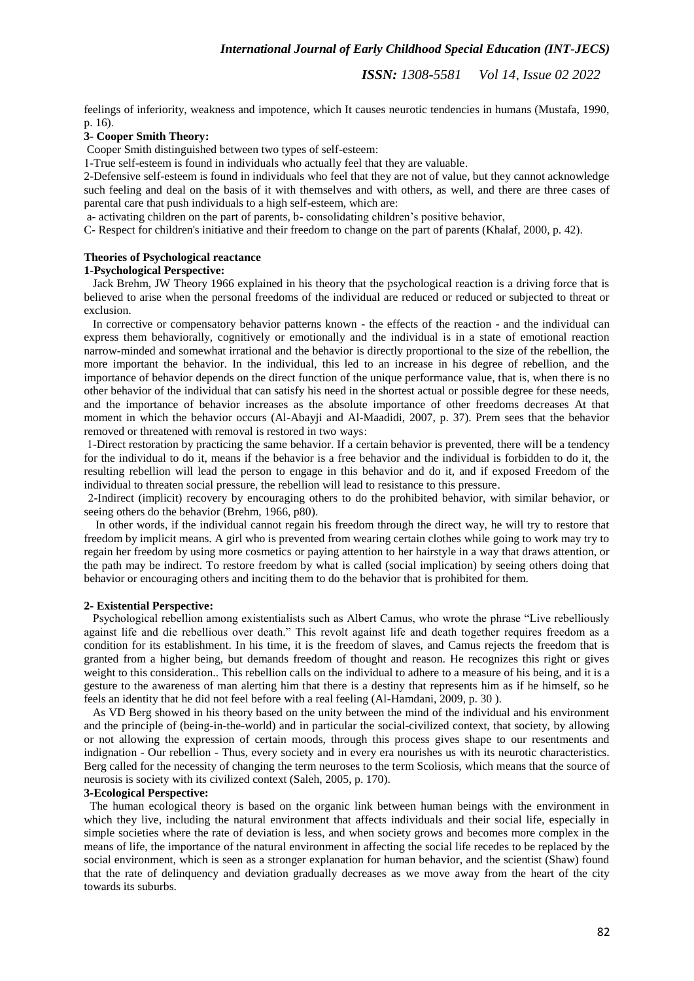feelings of inferiority, weakness and impotence, which It causes neurotic tendencies in humans (Mustafa, 1990, p. 16).

## **3- Cooper Smith Theory:**

Cooper Smith distinguished between two types of self-esteem:

1-True self-esteem is found in individuals who actually feel that they are valuable.

2-Defensive self-esteem is found in individuals who feel that they are not of value, but they cannot acknowledge such feeling and deal on the basis of it with themselves and with others, as well, and there are three cases of parental care that push individuals to a high self-esteem, which are:

a- activating children on the part of parents, b- consolidating children's positive behavior,

C- Respect for children's initiative and their freedom to change on the part of parents (Khalaf, 2000, p. 42).

## **Theories of Psychological reactance**

#### **1-Psychological Perspective:**

 Jack Brehm, JW Theory 1966 explained in his theory that the psychological reaction is a driving force that is believed to arise when the personal freedoms of the individual are reduced or reduced or subjected to threat or exclusion.

 In corrective or compensatory behavior patterns known - the effects of the reaction - and the individual can express them behaviorally, cognitively or emotionally and the individual is in a state of emotional reaction narrow-minded and somewhat irrational and the behavior is directly proportional to the size of the rebellion, the more important the behavior. In the individual, this led to an increase in his degree of rebellion, and the importance of behavior depends on the direct function of the unique performance value, that is, when there is no other behavior of the individual that can satisfy his need in the shortest actual or possible degree for these needs, and the importance of behavior increases as the absolute importance of other freedoms decreases At that moment in which the behavior occurs (Al-Abayji and Al-Maadidi, 2007, p. 37). Prem sees that the behavior removed or threatened with removal is restored in two ways:

1-Direct restoration by practicing the same behavior. If a certain behavior is prevented, there will be a tendency for the individual to do it, means if the behavior is a free behavior and the individual is forbidden to do it, the resulting rebellion will lead the person to engage in this behavior and do it, and if exposed Freedom of the individual to threaten social pressure, the rebellion will lead to resistance to this pressure.

2-Indirect (implicit) recovery by encouraging others to do the prohibited behavior, with similar behavior, or seeing others do the behavior (Brehm, 1966, p80).

 In other words, if the individual cannot regain his freedom through the direct way, he will try to restore that freedom by implicit means. A girl who is prevented from wearing certain clothes while going to work may try to regain her freedom by using more cosmetics or paying attention to her hairstyle in a way that draws attention, or the path may be indirect. To restore freedom by what is called (social implication) by seeing others doing that behavior or encouraging others and inciting them to do the behavior that is prohibited for them.

#### **2- Existential Perspective:**

 Psychological rebellion among existentialists such as Albert Camus, who wrote the phrase "Live rebelliously against life and die rebellious over death." This revolt against life and death together requires freedom as a condition for its establishment. In his time, it is the freedom of slaves, and Camus rejects the freedom that is granted from a higher being, but demands freedom of thought and reason. He recognizes this right or gives weight to this consideration.. This rebellion calls on the individual to adhere to a measure of his being, and it is a gesture to the awareness of man alerting him that there is a destiny that represents him as if he himself, so he feels an identity that he did not feel before with a real feeling (Al-Hamdani, 2009, p. 30 ).

 As VD Berg showed in his theory based on the unity between the mind of the individual and his environment and the principle of (being-in-the-world) and in particular the social-civilized context, that society, by allowing or not allowing the expression of certain moods, through this process gives shape to our resentments and indignation - Our rebellion - Thus, every society and in every era nourishes us with its neurotic characteristics. Berg called for the necessity of changing the term neuroses to the term Scoliosis, which means that the source of neurosis is society with its civilized context (Saleh, 2005, p. 170).

## **3-Ecological Perspective:**

 The human ecological theory is based on the organic link between human beings with the environment in which they live, including the natural environment that affects individuals and their social life, especially in simple societies where the rate of deviation is less, and when society grows and becomes more complex in the means of life, the importance of the natural environment in affecting the social life recedes to be replaced by the social environment, which is seen as a stronger explanation for human behavior, and the scientist (Shaw) found that the rate of delinquency and deviation gradually decreases as we move away from the heart of the city towards its suburbs.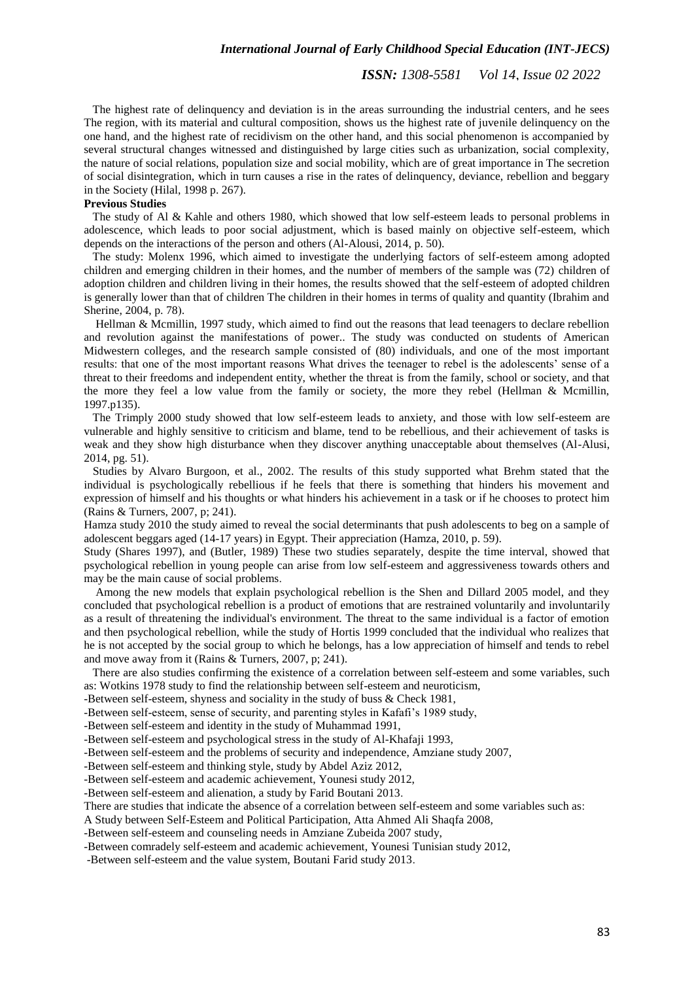The highest rate of delinquency and deviation is in the areas surrounding the industrial centers, and he sees The region, with its material and cultural composition, shows us the highest rate of juvenile delinquency on the one hand, and the highest rate of recidivism on the other hand, and this social phenomenon is accompanied by several structural changes witnessed and distinguished by large cities such as urbanization, social complexity, the nature of social relations, population size and social mobility, which are of great importance in The secretion of social disintegration, which in turn causes a rise in the rates of delinquency, deviance, rebellion and beggary in the Society (Hilal, 1998 p. 267).

# **Previous Studies**

 The study of Al & Kahle and others 1980, which showed that low self-esteem leads to personal problems in adolescence, which leads to poor social adjustment, which is based mainly on objective self-esteem, which depends on the interactions of the person and others (Al-Alousi, 2014, p. 50).

 The study: Molenx 1996, which aimed to investigate the underlying factors of self-esteem among adopted children and emerging children in their homes, and the number of members of the sample was (72) children of adoption children and children living in their homes, the results showed that the self-esteem of adopted children is generally lower than that of children The children in their homes in terms of quality and quantity (Ibrahim and Sherine, 2004, p. 78).

 Hellman & Mcmillin, 1997 study, which aimed to find out the reasons that lead teenagers to declare rebellion and revolution against the manifestations of power.. The study was conducted on students of American Midwestern colleges, and the research sample consisted of (80) individuals, and one of the most important results: that one of the most important reasons What drives the teenager to rebel is the adolescents' sense of a threat to their freedoms and independent entity, whether the threat is from the family, school or society, and that the more they feel a low value from the family or society, the more they rebel (Hellman & Mcmillin, 1997.p135).

 The Trimply 2000 study showed that low self-esteem leads to anxiety, and those with low self-esteem are vulnerable and highly sensitive to criticism and blame, tend to be rebellious, and their achievement of tasks is weak and they show high disturbance when they discover anything unacceptable about themselves (Al-Alusi, 2014, pg. 51).

 Studies by Alvaro Burgoon, et al., 2002. The results of this study supported what Brehm stated that the individual is psychologically rebellious if he feels that there is something that hinders his movement and expression of himself and his thoughts or what hinders his achievement in a task or if he chooses to protect him (Rains & Turners, 2007, p; 241).

Hamza study 2010 the study aimed to reveal the social determinants that push adolescents to beg on a sample of adolescent beggars aged (14-17 years) in Egypt. Their appreciation (Hamza, 2010, p. 59).

Study (Shares 1997), and (Butler, 1989) These two studies separately, despite the time interval, showed that psychological rebellion in young people can arise from low self-esteem and aggressiveness towards others and may be the main cause of social problems.

 Among the new models that explain psychological rebellion is the Shen and Dillard 2005 model, and they concluded that psychological rebellion is a product of emotions that are restrained voluntarily and involuntarily as a result of threatening the individual's environment. The threat to the same individual is a factor of emotion and then psychological rebellion, while the study of Hortis 1999 concluded that the individual who realizes that he is not accepted by the social group to which he belongs, has a low appreciation of himself and tends to rebel and move away from it (Rains & Turners, 2007, p; 241).

 There are also studies confirming the existence of a correlation between self-esteem and some variables, such as: Wotkins 1978 study to find the relationship between self-esteem and neuroticism,

-Between self-esteem, shyness and sociality in the study of buss & Check 1981,

-Between self-esteem, sense of security, and parenting styles in Kafafi's 1989 study,

-Between self-esteem and identity in the study of Muhammad 1991,

-Between self-esteem and psychological stress in the study of Al-Khafaji 1993,

-Between self-esteem and the problems of security and independence, Amziane study 2007,

-Between self-esteem and thinking style, study by Abdel Aziz 2012,

-Between self-esteem and academic achievement, Younesi study 2012,

-Between self-esteem and alienation, a study by Farid Boutani 2013.

There are studies that indicate the absence of a correlation between self-esteem and some variables such as:

A Study between Self-Esteem and Political Participation, Atta Ahmed Ali Shaqfa 2008,

-Between self-esteem and counseling needs in Amziane Zubeida 2007 study,

-Between comradely self-esteem and academic achievement, Younesi Tunisian study 2012,

-Between self-esteem and the value system, Boutani Farid study 2013.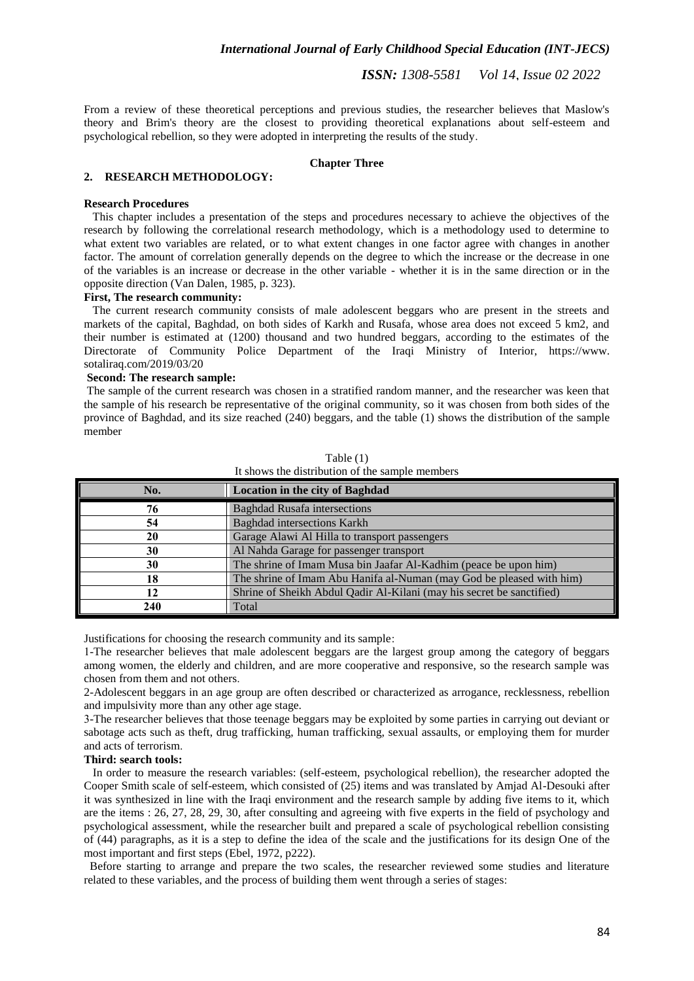From a review of these theoretical perceptions and previous studies, the researcher believes that Maslow's theory and Brim's theory are the closest to providing theoretical explanations about self-esteem and psychological rebellion, so they were adopted in interpreting the results of the study.

# **Chapter Three**

### **2. RESEARCH METHODOLOGY:**

#### **Research Procedures**

 This chapter includes a presentation of the steps and procedures necessary to achieve the objectives of the research by following the correlational research methodology, which is a methodology used to determine to what extent two variables are related, or to what extent changes in one factor agree with changes in another factor. The amount of correlation generally depends on the degree to which the increase or the decrease in one of the variables is an increase or decrease in the other variable - whether it is in the same direction or in the opposite direction (Van Dalen, 1985, p. 323).

#### **First, The research community:**

 The current research community consists of male adolescent beggars who are present in the streets and markets of the capital, Baghdad, on both sides of Karkh and Rusafa, whose area does not exceed 5 km2, and their number is estimated at (1200) thousand and two hundred beggars, according to the estimates of the Directorate of Community Police Department of the Iraqi Ministry of Interior, https://www. sotaliraq.com/2019/03/20

# **Second: The research sample:**

The sample of the current research was chosen in a stratified random manner, and the researcher was keen that the sample of his research be representative of the original community, so it was chosen from both sides of the province of Baghdad, and its size reached (240) beggars, and the table (1) shows the distribution of the sample member

| No. | <b>Location in the city of Baghdad</b>                                |  |  |  |
|-----|-----------------------------------------------------------------------|--|--|--|
| 76  | <b>Baghdad Rusafa intersections</b>                                   |  |  |  |
| 54  | <b>Baghdad</b> intersections Karkh                                    |  |  |  |
| 20  | Garage Alawi Al Hilla to transport passengers                         |  |  |  |
| 30  | Al Nahda Garage for passenger transport                               |  |  |  |
| 30  | The shrine of Imam Musa bin Jaafar Al-Kadhim (peace be upon him)      |  |  |  |
| 18  | The shrine of Imam Abu Hanifa al-Numan (may God be pleased with him)  |  |  |  |
| 12  | Shrine of Sheikh Abdul Qadir Al-Kilani (may his secret be sanctified) |  |  |  |
| 240 | Total                                                                 |  |  |  |

Table (1) It shows the distribution of the sample members

Justifications for choosing the research community and its sample:

1-The researcher believes that male adolescent beggars are the largest group among the category of beggars among women, the elderly and children, and are more cooperative and responsive, so the research sample was chosen from them and not others.

2-Adolescent beggars in an age group are often described or characterized as arrogance, recklessness, rebellion and impulsivity more than any other age stage.

3-The researcher believes that those teenage beggars may be exploited by some parties in carrying out deviant or sabotage acts such as theft, drug trafficking, human trafficking, sexual assaults, or employing them for murder and acts of terrorism.

# **Third: search tools:**

 In order to measure the research variables: (self-esteem, psychological rebellion), the researcher adopted the Cooper Smith scale of self-esteem, which consisted of (25) items and was translated by Amjad Al-Desouki after it was synthesized in line with the Iraqi environment and the research sample by adding five items to it, which are the items : 26, 27, 28, 29, 30, after consulting and agreeing with five experts in the field of psychology and psychological assessment, while the researcher built and prepared a scale of psychological rebellion consisting of (44) paragraphs, as it is a step to define the idea of the scale and the justifications for its design One of the most important and first steps (Ebel, 1972, p222).

 Before starting to arrange and prepare the two scales, the researcher reviewed some studies and literature related to these variables, and the process of building them went through a series of stages: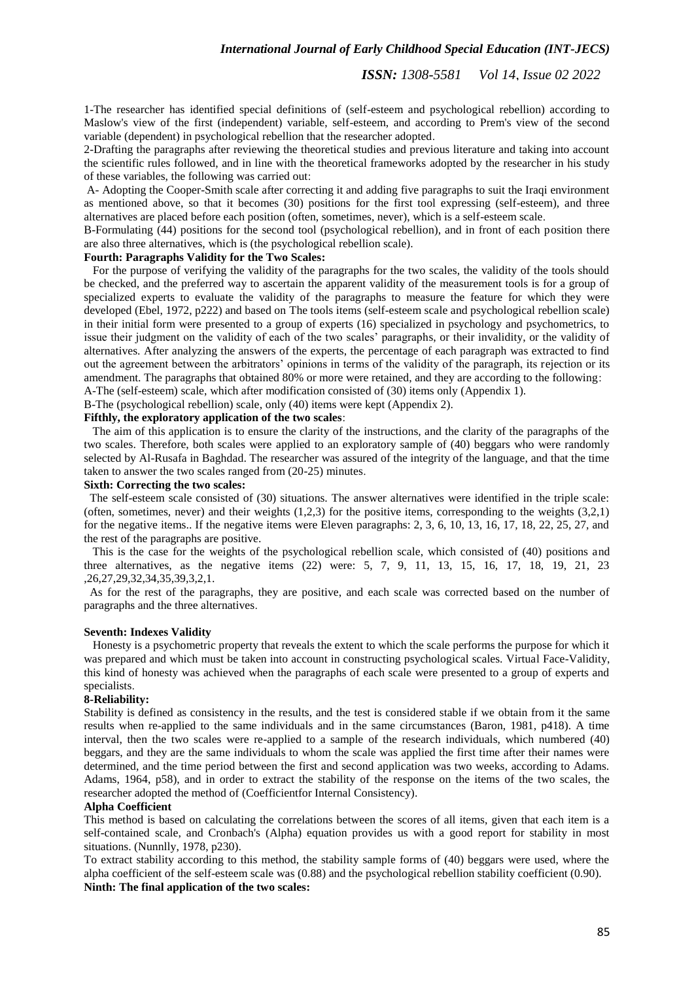1-The researcher has identified special definitions of (self-esteem and psychological rebellion) according to Maslow's view of the first (independent) variable, self-esteem, and according to Prem's view of the second variable (dependent) in psychological rebellion that the researcher adopted.

2-Drafting the paragraphs after reviewing the theoretical studies and previous literature and taking into account the scientific rules followed, and in line with the theoretical frameworks adopted by the researcher in his study of these variables, the following was carried out:

A- Adopting the Cooper-Smith scale after correcting it and adding five paragraphs to suit the Iraqi environment as mentioned above, so that it becomes (30) positions for the first tool expressing (self-esteem), and three alternatives are placed before each position (often, sometimes, never), which is a self-esteem scale.

B-Formulating (44) positions for the second tool (psychological rebellion), and in front of each position there are also three alternatives, which is (the psychological rebellion scale).

# **Fourth: Paragraphs Validity for the Two Scales:**

 For the purpose of verifying the validity of the paragraphs for the two scales, the validity of the tools should be checked, and the preferred way to ascertain the apparent validity of the measurement tools is for a group of specialized experts to evaluate the validity of the paragraphs to measure the feature for which they were developed (Ebel, 1972, p222) and based on The tools items (self-esteem scale and psychological rebellion scale) in their initial form were presented to a group of experts (16) specialized in psychology and psychometrics, to issue their judgment on the validity of each of the two scales' paragraphs, or their invalidity, or the validity of alternatives. After analyzing the answers of the experts, the percentage of each paragraph was extracted to find out the agreement between the arbitrators' opinions in terms of the validity of the paragraph, its rejection or its amendment. The paragraphs that obtained 80% or more were retained, and they are according to the following:

A-The (self-esteem) scale, which after modification consisted of (30) items only (Appendix 1).

B-The (psychological rebellion) scale, only (40) items were kept (Appendix 2).

# **Fifthly, the exploratory application of the two scales**:

 The aim of this application is to ensure the clarity of the instructions, and the clarity of the paragraphs of the two scales. Therefore, both scales were applied to an exploratory sample of (40) beggars who were randomly selected by Al-Rusafa in Baghdad. The researcher was assured of the integrity of the language, and that the time taken to answer the two scales ranged from (20-25) minutes.

#### **Sixth: Correcting the two scales:**

 The self-esteem scale consisted of (30) situations. The answer alternatives were identified in the triple scale: (often, sometimes, never) and their weights  $(1,2,3)$  for the positive items, corresponding to the weights  $(3,2,1)$ for the negative items.. If the negative items were Eleven paragraphs: 2, 3, 6, 10, 13, 16, 17, 18, 22, 25, 27, and the rest of the paragraphs are positive.

 This is the case for the weights of the psychological rebellion scale, which consisted of (40) positions and three alternatives, as the negative items (22) were: 5, 7, 9, 11, 13, 15, 16, 17, 18, 19, 21, 23 ,26,27,29,32,34,35,39,3,2,1.

 As for the rest of the paragraphs, they are positive, and each scale was corrected based on the number of paragraphs and the three alternatives.

# **Seventh: Indexes Validity**

 Honesty is a psychometric property that reveals the extent to which the scale performs the purpose for which it was prepared and which must be taken into account in constructing psychological scales. Virtual Face-Validity, this kind of honesty was achieved when the paragraphs of each scale were presented to a group of experts and specialists.

#### **8-Reliability:**

Stability is defined as consistency in the results, and the test is considered stable if we obtain from it the same results when re-applied to the same individuals and in the same circumstances (Baron, 1981, p418). A time interval, then the two scales were re-applied to a sample of the research individuals, which numbered (40) beggars, and they are the same individuals to whom the scale was applied the first time after their names were determined, and the time period between the first and second application was two weeks, according to Adams. Adams, 1964, p58), and in order to extract the stability of the response on the items of the two scales, the researcher adopted the method of (Coefficientfor Internal Consistency).

#### **Alpha Coefficient**

This method is based on calculating the correlations between the scores of all items, given that each item is a self-contained scale, and Cronbach's (Alpha) equation provides us with a good report for stability in most situations. (Nunnlly, 1978, p230).

To extract stability according to this method, the stability sample forms of (40) beggars were used, where the alpha coefficient of the self-esteem scale was (0.88) and the psychological rebellion stability coefficient (0.90). **Ninth: The final application of the two scales:**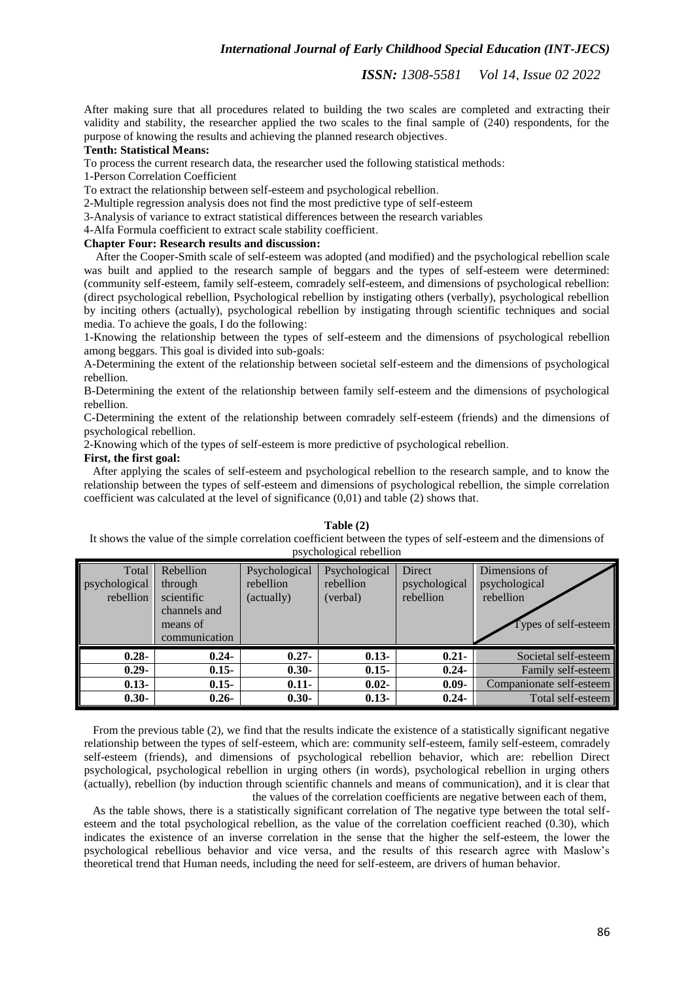*ISSN: 1308-5581 Vol 14, Issue 02 2022*

After making sure that all procedures related to building the two scales are completed and extracting their validity and stability, the researcher applied the two scales to the final sample of (240) respondents, for the purpose of knowing the results and achieving the planned research objectives.

#### **Tenth: Statistical Means:**

To process the current research data, the researcher used the following statistical methods:

1-Person Correlation Coefficient

To extract the relationship between self-esteem and psychological rebellion.

2-Multiple regression analysis does not find the most predictive type of self-esteem

3-Analysis of variance to extract statistical differences between the research variables

4-Alfa Formula coefficient to extract scale stability coefficient.

# **Chapter Four: Research results and discussion:**

 After the Cooper-Smith scale of self-esteem was adopted (and modified) and the psychological rebellion scale was built and applied to the research sample of beggars and the types of self-esteem were determined: (community self-esteem, family self-esteem, comradely self-esteem, and dimensions of psychological rebellion: (direct psychological rebellion, Psychological rebellion by instigating others (verbally), psychological rebellion by inciting others (actually), psychological rebellion by instigating through scientific techniques and social media. To achieve the goals, I do the following:

1-Knowing the relationship between the types of self-esteem and the dimensions of psychological rebellion among beggars. This goal is divided into sub-goals:

A-Determining the extent of the relationship between societal self-esteem and the dimensions of psychological rebellion.

B-Determining the extent of the relationship between family self-esteem and the dimensions of psychological rebellion.

C-Determining the extent of the relationship between comradely self-esteem (friends) and the dimensions of psychological rebellion.

2-Knowing which of the types of self-esteem is more predictive of psychological rebellion.

# **First, the first goal:**

 After applying the scales of self-esteem and psychological rebellion to the research sample, and to know the relationship between the types of self-esteem and dimensions of psychological rebellion, the simple correlation coefficient was calculated at the level of significance (0,01) and table (2) shows that.

**Table (2)** It shows the value of the simple correlation coefficient between the types of self-esteem and the dimensions of psychological rebellion

| Total<br>psychological<br>rebellion | Rebellion<br>through<br>scientific<br>channels and<br>means of<br>communication | Psychological<br>rebellion<br>(actually) | Psychological<br>rebellion<br>(verbal) | <b>Direct</b><br>psychological<br>rebellion | Dimensions of<br>psychological<br>rebellion<br>Types of self-esteem |
|-------------------------------------|---------------------------------------------------------------------------------|------------------------------------------|----------------------------------------|---------------------------------------------|---------------------------------------------------------------------|
| $0.28 -$                            | $0.24 -$                                                                        | $0.27 -$                                 | $0.13 -$                               | $0.21 -$                                    | Societal self-esteem                                                |
| $0.29 -$                            | $0.15 -$                                                                        | $0.30 -$                                 | $0.15 -$                               | $0.24 -$                                    | Family self-esteem                                                  |
| $0.13 -$                            | $0.15 -$                                                                        | $0.11 -$                                 | $0.02 -$                               | $0.09 -$                                    | Companionate self-esteem                                            |
| $0.30 -$                            | $0.26 -$                                                                        | $0.30 -$                                 | $0.13 -$                               | $0.24 -$                                    | Total self-esteem                                                   |

 From the previous table (2), we find that the results indicate the existence of a statistically significant negative relationship between the types of self-esteem, which are: community self-esteem, family self-esteem, comradely self-esteem (friends), and dimensions of psychological rebellion behavior, which are: rebellion Direct psychological, psychological rebellion in urging others (in words), psychological rebellion in urging others (actually), rebellion (by induction through scientific channels and means of communication), and it is clear that the values of the correlation coefficients are negative between each of them,

 As the table shows, there is a statistically significant correlation of The negative type between the total selfesteem and the total psychological rebellion, as the value of the correlation coefficient reached (0.30), which indicates the existence of an inverse correlation in the sense that the higher the self-esteem, the lower the psychological rebellious behavior and vice versa, and the results of this research agree with Maslow's theoretical trend that Human needs, including the need for self-esteem, are drivers of human behavior.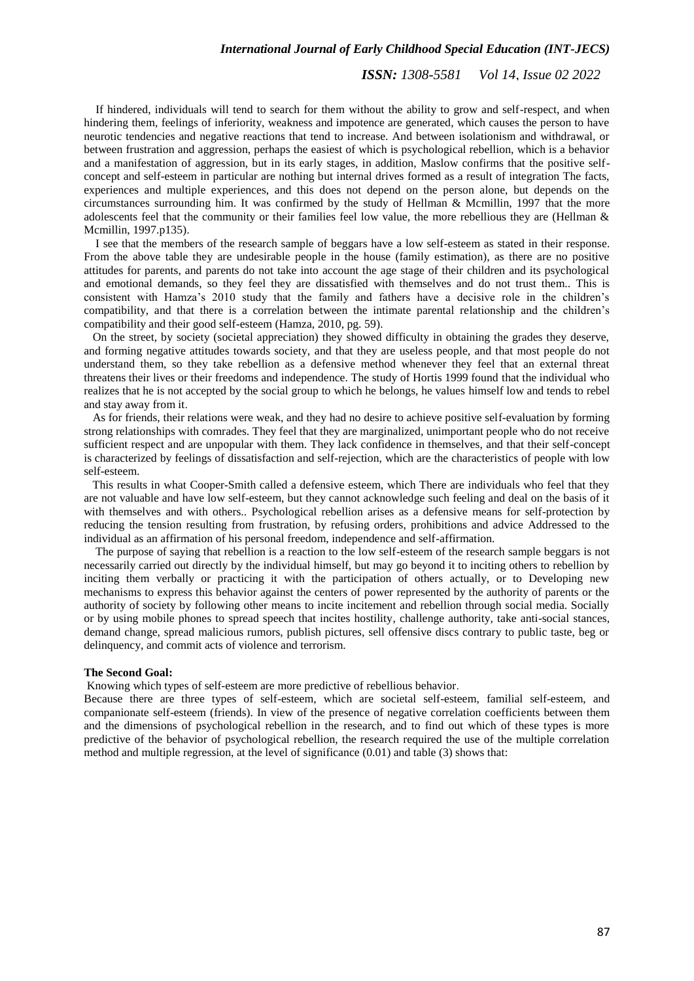# *ISSN: 1308-5581 Vol 14, Issue 02 2022*

 If hindered, individuals will tend to search for them without the ability to grow and self-respect, and when hindering them, feelings of inferiority, weakness and impotence are generated, which causes the person to have neurotic tendencies and negative reactions that tend to increase. And between isolationism and withdrawal, or between frustration and aggression, perhaps the easiest of which is psychological rebellion, which is a behavior and a manifestation of aggression, but in its early stages, in addition, Maslow confirms that the positive selfconcept and self-esteem in particular are nothing but internal drives formed as a result of integration The facts, experiences and multiple experiences, and this does not depend on the person alone, but depends on the circumstances surrounding him. It was confirmed by the study of Hellman & Mcmillin, 1997 that the more adolescents feel that the community or their families feel low value, the more rebellious they are (Hellman & Mcmillin, 1997.p135).

 I see that the members of the research sample of beggars have a low self-esteem as stated in their response. From the above table they are undesirable people in the house (family estimation), as there are no positive attitudes for parents, and parents do not take into account the age stage of their children and its psychological and emotional demands, so they feel they are dissatisfied with themselves and do not trust them.. This is consistent with Hamza's 2010 study that the family and fathers have a decisive role in the children's compatibility, and that there is a correlation between the intimate parental relationship and the children's compatibility and their good self-esteem (Hamza, 2010, pg. 59).

 On the street, by society (societal appreciation) they showed difficulty in obtaining the grades they deserve, and forming negative attitudes towards society, and that they are useless people, and that most people do not understand them, so they take rebellion as a defensive method whenever they feel that an external threat threatens their lives or their freedoms and independence. The study of Hortis 1999 found that the individual who realizes that he is not accepted by the social group to which he belongs, he values himself low and tends to rebel and stay away from it.

 As for friends, their relations were weak, and they had no desire to achieve positive self-evaluation by forming strong relationships with comrades. They feel that they are marginalized, unimportant people who do not receive sufficient respect and are unpopular with them. They lack confidence in themselves, and that their self-concept is characterized by feelings of dissatisfaction and self-rejection, which are the characteristics of people with low self-esteem.

 This results in what Cooper-Smith called a defensive esteem, which There are individuals who feel that they are not valuable and have low self-esteem, but they cannot acknowledge such feeling and deal on the basis of it with themselves and with others.. Psychological rebellion arises as a defensive means for self-protection by reducing the tension resulting from frustration, by refusing orders, prohibitions and advice Addressed to the individual as an affirmation of his personal freedom, independence and self-affirmation.

 The purpose of saying that rebellion is a reaction to the low self-esteem of the research sample beggars is not necessarily carried out directly by the individual himself, but may go beyond it to inciting others to rebellion by inciting them verbally or practicing it with the participation of others actually, or to Developing new mechanisms to express this behavior against the centers of power represented by the authority of parents or the authority of society by following other means to incite incitement and rebellion through social media. Socially or by using mobile phones to spread speech that incites hostility, challenge authority, take anti-social stances, demand change, spread malicious rumors, publish pictures, sell offensive discs contrary to public taste, beg or delinquency, and commit acts of violence and terrorism.

#### **The Second Goal:**

Knowing which types of self-esteem are more predictive of rebellious behavior.

Because there are three types of self-esteem, which are societal self-esteem, familial self-esteem, and companionate self-esteem (friends). In view of the presence of negative correlation coefficients between them and the dimensions of psychological rebellion in the research, and to find out which of these types is more predictive of the behavior of psychological rebellion, the research required the use of the multiple correlation method and multiple regression, at the level of significance (0.01) and table (3) shows that: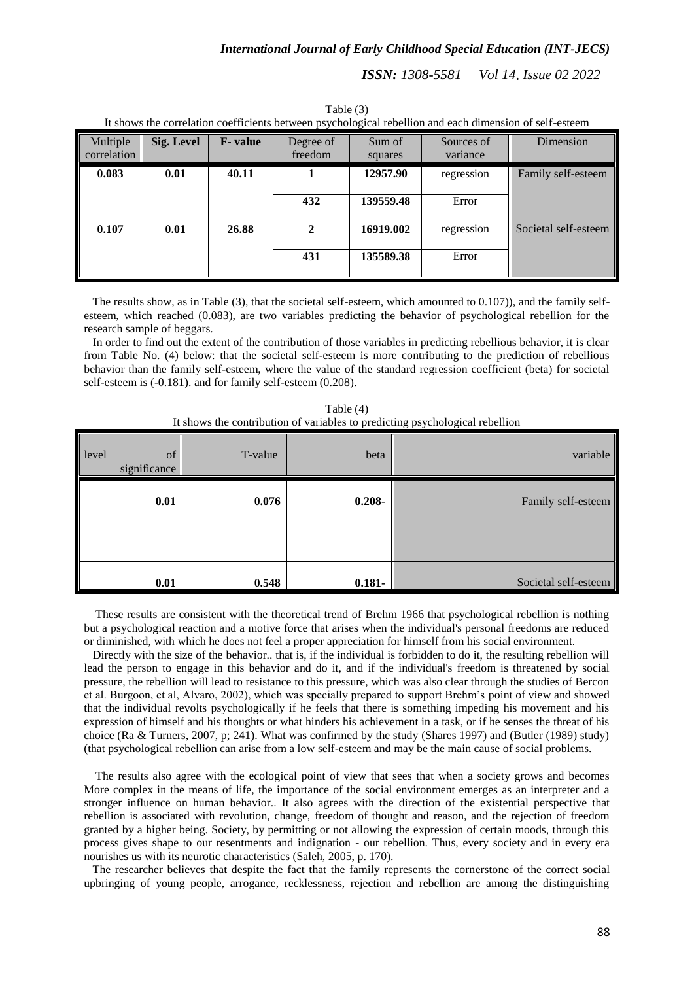| It shows the correlation coefficients between psychological rebellion and each dimension of self-esteem |                   |                 |                      |                   |                        |                      |
|---------------------------------------------------------------------------------------------------------|-------------------|-----------------|----------------------|-------------------|------------------------|----------------------|
| Multiple<br>correlation                                                                                 | <b>Sig. Level</b> | <b>F</b> -value | Degree of<br>freedom | Sum of<br>squares | Sources of<br>variance | Dimension            |
| 0.083                                                                                                   | 0.01              | 40.11           |                      | 12957.90          | regression             | Family self-esteem   |
|                                                                                                         |                   |                 | 432                  | 139559.48         | Error                  |                      |
| 0.107                                                                                                   | 0.01              | 26.88           | 2                    | 16919.002         | regression             | Societal self-esteem |
|                                                                                                         |                   |                 | 431                  | 135589.38         | Error                  |                      |

Table (3) It shows the correlation coefficients between psychological rebellion and each dimension of self-esteem

 The results show, as in Table (3), that the societal self-esteem, which amounted to 0.107)), and the family selfesteem, which reached (0.083), are two variables predicting the behavior of psychological rebellion for the research sample of beggars.

 In order to find out the extent of the contribution of those variables in predicting rebellious behavior, it is clear from Table No. (4) below: that the societal self-esteem is more contributing to the prediction of rebellious behavior than the family self-esteem, where the value of the standard regression coefficient (beta) for societal self-esteem is (-0.181). and for family self-esteem (0.208).

| Table (4)                                                                    |  |
|------------------------------------------------------------------------------|--|
| It shows the contribution of variables to predicting psychological rebellion |  |

| level<br>significance | of   | T-value | beta      | variable             |
|-----------------------|------|---------|-----------|----------------------|
|                       | 0.01 | 0.076   | $0.208 -$ | Family self-esteem   |
|                       | 0.01 | 0.548   | $0.181 -$ | Societal self-esteem |

 These results are consistent with the theoretical trend of Brehm 1966 that psychological rebellion is nothing but a psychological reaction and a motive force that arises when the individual's personal freedoms are reduced or diminished, with which he does not feel a proper appreciation for himself from his social environment.

 Directly with the size of the behavior.. that is, if the individual is forbidden to do it, the resulting rebellion will lead the person to engage in this behavior and do it, and if the individual's freedom is threatened by social pressure, the rebellion will lead to resistance to this pressure, which was also clear through the studies of Bercon et al. Burgoon, et al, Alvaro, 2002), which was specially prepared to support Brehm's point of view and showed that the individual revolts psychologically if he feels that there is something impeding his movement and his expression of himself and his thoughts or what hinders his achievement in a task, or if he senses the threat of his choice (Ra & Turners, 2007, p; 241). What was confirmed by the study (Shares 1997) and (Butler (1989) study) (that psychological rebellion can arise from a low self-esteem and may be the main cause of social problems.

 The results also agree with the ecological point of view that sees that when a society grows and becomes More complex in the means of life, the importance of the social environment emerges as an interpreter and a stronger influence on human behavior.. It also agrees with the direction of the existential perspective that rebellion is associated with revolution, change, freedom of thought and reason, and the rejection of freedom granted by a higher being. Society, by permitting or not allowing the expression of certain moods, through this process gives shape to our resentments and indignation - our rebellion. Thus, every society and in every era nourishes us with its neurotic characteristics (Saleh, 2005, p. 170).

 The researcher believes that despite the fact that the family represents the cornerstone of the correct social upbringing of young people, arrogance, recklessness, rejection and rebellion are among the distinguishing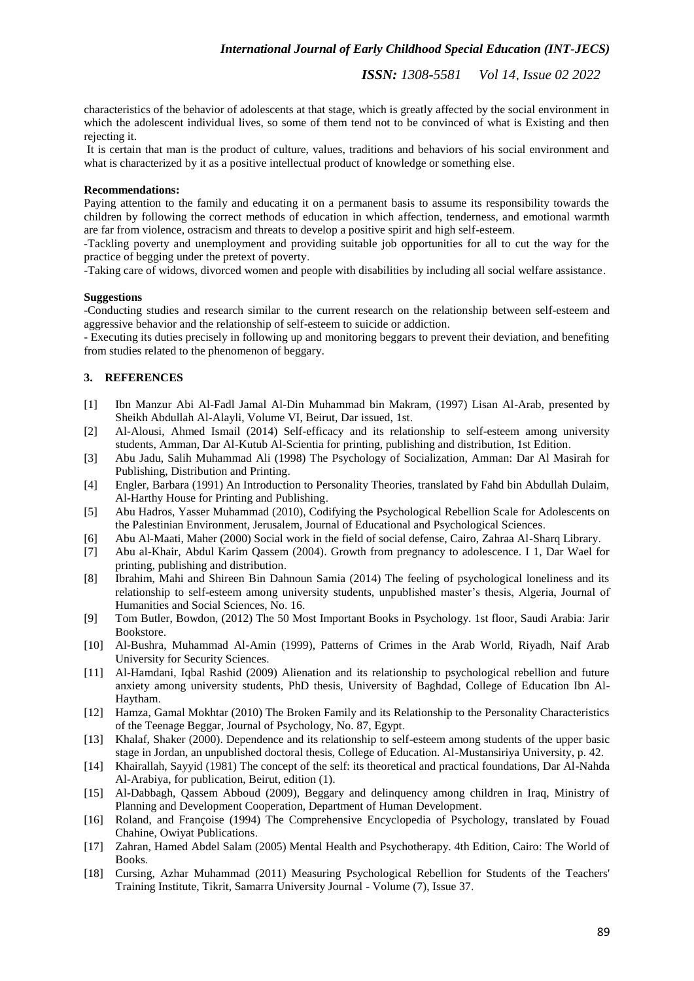*ISSN: 1308-5581 Vol 14, Issue 02 2022*

characteristics of the behavior of adolescents at that stage, which is greatly affected by the social environment in which the adolescent individual lives, so some of them tend not to be convinced of what is Existing and then rejecting it.

It is certain that man is the product of culture, values, traditions and behaviors of his social environment and what is characterized by it as a positive intellectual product of knowledge or something else.

## **Recommendations:**

Paying attention to the family and educating it on a permanent basis to assume its responsibility towards the children by following the correct methods of education in which affection, tenderness, and emotional warmth are far from violence, ostracism and threats to develop a positive spirit and high self-esteem.

-Tackling poverty and unemployment and providing suitable job opportunities for all to cut the way for the practice of begging under the pretext of poverty.

-Taking care of widows, divorced women and people with disabilities by including all social welfare assistance.

## **Suggestions**

-Conducting studies and research similar to the current research on the relationship between self-esteem and aggressive behavior and the relationship of self-esteem to suicide or addiction.

- Executing its duties precisely in following up and monitoring beggars to prevent their deviation, and benefiting from studies related to the phenomenon of beggary.

# **3. REFERENCES**

- [1] Ibn Manzur Abi Al-Fadl Jamal Al-Din Muhammad bin Makram, (1997) Lisan Al-Arab, presented by Sheikh Abdullah Al-Alayli, Volume VI, Beirut, Dar issued, 1st.
- [2] Al-Alousi, Ahmed Ismail (2014) Self-efficacy and its relationship to self-esteem among university students, Amman, Dar Al-Kutub Al-Scientia for printing, publishing and distribution, 1st Edition.
- [3] Abu Jadu, Salih Muhammad Ali (1998) The Psychology of Socialization, Amman: Dar Al Masirah for Publishing, Distribution and Printing.
- [4] Engler, Barbara (1991) An Introduction to Personality Theories, translated by Fahd bin Abdullah Dulaim, Al-Harthy House for Printing and Publishing.
- [5] Abu Hadros, Yasser Muhammad (2010), Codifying the Psychological Rebellion Scale for Adolescents on the Palestinian Environment, Jerusalem, Journal of Educational and Psychological Sciences.
- [6] Abu Al-Maati, Maher (2000) Social work in the field of social defense, Cairo, Zahraa Al-Sharq Library.
- [7] Abu al-Khair, Abdul Karim Qassem (2004). Growth from pregnancy to adolescence. I 1, Dar Wael for printing, publishing and distribution.
- [8] Ibrahim, Mahi and Shireen Bin Dahnoun Samia (2014) The feeling of psychological loneliness and its relationship to self-esteem among university students, unpublished master's thesis, Algeria, Journal of Humanities and Social Sciences, No. 16.
- [9] Tom Butler, Bowdon, (2012) The 50 Most Important Books in Psychology. 1st floor, Saudi Arabia: Jarir Bookstore.
- [10] Al-Bushra, Muhammad Al-Amin (1999), Patterns of Crimes in the Arab World, Riyadh, Naif Arab University for Security Sciences.
- [11] Al-Hamdani, Iqbal Rashid (2009) Alienation and its relationship to psychological rebellion and future anxiety among university students, PhD thesis, University of Baghdad, College of Education Ibn Al-Haytham.
- [12] Hamza, Gamal Mokhtar (2010) The Broken Family and its Relationship to the Personality Characteristics of the Teenage Beggar, Journal of Psychology, No. 87, Egypt.
- [13] Khalaf, Shaker (2000). Dependence and its relationship to self-esteem among students of the upper basic stage in Jordan, an unpublished doctoral thesis, College of Education. Al-Mustansiriya University, p. 42.
- [14] Khairallah, Sayyid (1981) The concept of the self: its theoretical and practical foundations, Dar Al-Nahda Al-Arabiya, for publication, Beirut, edition (1).
- [15] Al-Dabbagh, Qassem Abboud (2009), Beggary and delinquency among children in Iraq, Ministry of Planning and Development Cooperation, Department of Human Development.
- [16] Roland, and Françoise (1994) The Comprehensive Encyclopedia of Psychology, translated by Fouad Chahine, Owiyat Publications.
- [17] Zahran, Hamed Abdel Salam (2005) Mental Health and Psychotherapy. 4th Edition, Cairo: The World of Books.
- [18] Cursing, Azhar Muhammad (2011) Measuring Psychological Rebellion for Students of the Teachers' Training Institute, Tikrit, Samarra University Journal - Volume (7), Issue 37.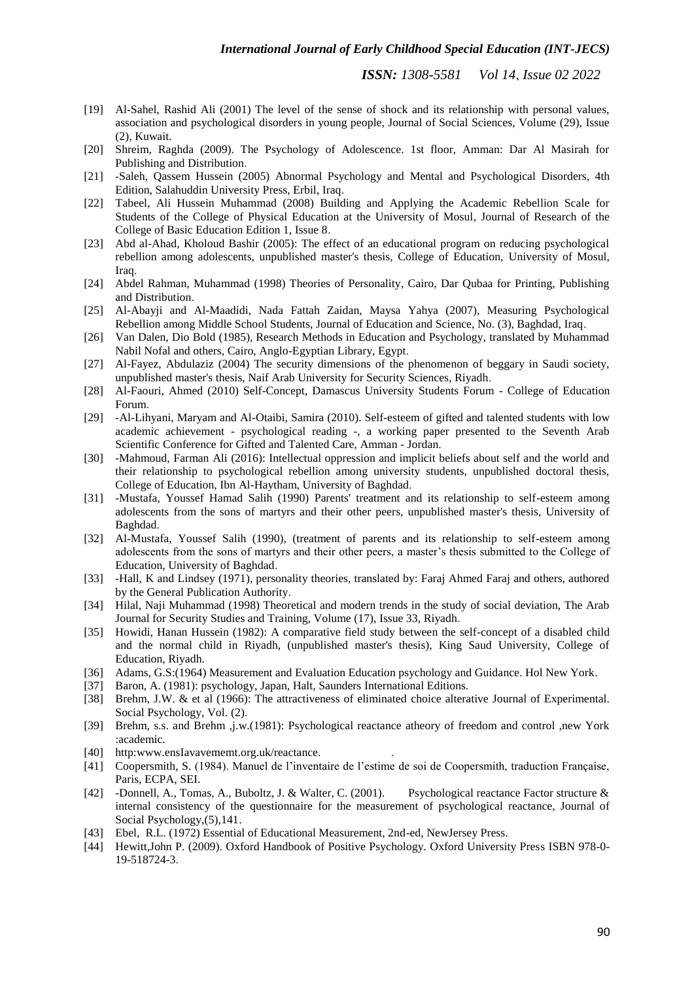- [19] Al-Sahel, Rashid Ali (2001) The level of the sense of shock and its relationship with personal values, association and psychological disorders in young people, Journal of Social Sciences, Volume (29), Issue (2), Kuwait.
- [20] Shreim, Raghda (2009). The Psychology of Adolescence. 1st floor, Amman: Dar Al Masirah for Publishing and Distribution.
- [21] -Saleh, Qassem Hussein (2005) Abnormal Psychology and Mental and Psychological Disorders, 4th Edition, Salahuddin University Press, Erbil, Iraq.
- [22] Tabeel, Ali Hussein Muhammad (2008) Building and Applying the Academic Rebellion Scale for Students of the College of Physical Education at the University of Mosul, Journal of Research of the College of Basic Education Edition 1, Issue 8.
- [23] Abd al-Ahad, Kholoud Bashir (2005): The effect of an educational program on reducing psychological rebellion among adolescents, unpublished master's thesis, College of Education, University of Mosul, Iraq.
- [24] Abdel Rahman, Muhammad (1998) Theories of Personality, Cairo, Dar Qubaa for Printing, Publishing and Distribution.
- [25] Al-Abayji and Al-Maadidi, Nada Fattah Zaidan, Maysa Yahya (2007), Measuring Psychological Rebellion among Middle School Students, Journal of Education and Science, No. (3), Baghdad, Iraq.
- [26] Van Dalen, Dio Bold (1985), Research Methods in Education and Psychology, translated by Muhammad Nabil Nofal and others, Cairo, Anglo-Egyptian Library, Egypt.
- [27] Al-Fayez, Abdulaziz (2004) The security dimensions of the phenomenon of beggary in Saudi society, unpublished master's thesis, Naif Arab University for Security Sciences, Riyadh.
- [28] Al-Faouri, Ahmed (2010) Self-Concept, Damascus University Students Forum College of Education Forum.
- [29] -Al-Lihyani, Maryam and Al-Otaibi, Samira (2010). Self-esteem of gifted and talented students with low academic achievement - psychological reading -, a working paper presented to the Seventh Arab Scientific Conference for Gifted and Talented Care, Amman - Jordan.
- [30] -Mahmoud, Farman Ali (2016): Intellectual oppression and implicit beliefs about self and the world and their relationship to psychological rebellion among university students, unpublished doctoral thesis, College of Education, Ibn Al-Haytham, University of Baghdad.
- [31] -Mustafa, Youssef Hamad Salih (1990) Parents' treatment and its relationship to self-esteem among adolescents from the sons of martyrs and their other peers, unpublished master's thesis, University of Baghdad.
- [32] Al-Mustafa, Youssef Salih (1990), (treatment of parents and its relationship to self-esteem among adolescents from the sons of martyrs and their other peers, a master's thesis submitted to the College of Education, University of Baghdad.
- [33] -Hall, K and Lindsey (1971), personality theories, translated by: Faraj Ahmed Faraj and others, authored by the General Publication Authority.
- [34] Hilal, Naji Muhammad (1998) Theoretical and modern trends in the study of social deviation, The Arab Journal for Security Studies and Training, Volume (17), Issue 33, Riyadh.
- [35] Howidi, Hanan Hussein (1982): A comparative field study between the self-concept of a disabled child and the normal child in Riyadh, (unpublished master's thesis), King Saud University, College of Education, Riyadh.
- [36] Adams, G.S:(1964) Measurement and Evaluation Education psychology and Guidance. Hol New York.
- [37] Baron, A. (1981): psychology, Japan, Halt, Saunders International Editions.
- [38] Brehm, J.W. & et al (1966): The attractiveness of eliminated choice alterative Journal of Experimental. Social Psychology, Vol. (2).
- [39] Brehm, s.s. and Brehm ,j.w.(1981): Psychological reactance atheory of freedom and control ,new York :academic.
- [40] http:www.ensIavavememt.org.uk/reactance.
- [41] Coopersmith, S. (1984). Manuel de l'inventaire de l'estime de soi de Coopersmith, traduction Française, Paris, ECPA, SEI.
- [42] -Donnell, A., Tomas, A., Buboltz, J. & Walter, C. (2001). Psychological reactance Factor structure & internal consistency of the questionnaire for the measurement of psychological reactance, Journal of Social Psychology,(5),141.
- [43] Ebel, R.L. (1972) Essential of Educational Measurement, 2nd-ed, NewJersey Press.
- [44] Hewitt,John P. (2009). Oxford Handbook of Positive Psychology. Oxford University Press ISBN 978-0- 19-518724-3.